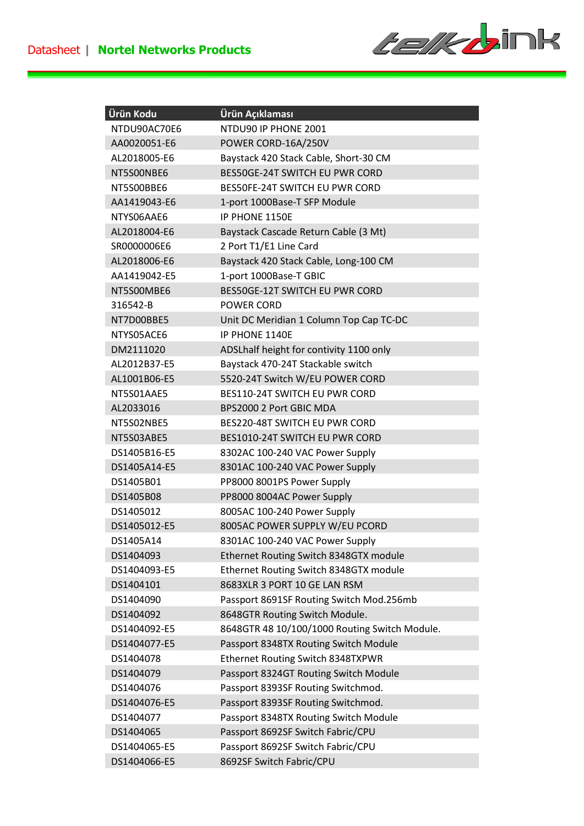

| Ürün Kodu    | Ürün Açıklaması                               |
|--------------|-----------------------------------------------|
| NTDU90AC70E6 | NTDU90 IP PHONE 2001                          |
| AA0020051-E6 | POWER CORD-16A/250V                           |
| AL2018005-E6 | Baystack 420 Stack Cable, Short-30 CM         |
| NT5S00NBE6   | BES50GE-24T SWITCH EU PWR CORD                |
| NT5S00BBE6   | BES50FE-24T SWITCH EU PWR CORD                |
| AA1419043-E6 | 1-port 1000Base-T SFP Module                  |
| NTYS06AAE6   | IP PHONE 1150E                                |
| AL2018004-E6 | Baystack Cascade Return Cable (3 Mt)          |
| SR0000006E6  | 2 Port T1/E1 Line Card                        |
| AL2018006-E6 | Baystack 420 Stack Cable, Long-100 CM         |
| AA1419042-E5 | 1-port 1000Base-T GBIC                        |
| NT5S00MBE6   | BES50GE-12T SWITCH EU PWR CORD                |
| 316542-B     | POWER CORD                                    |
| NT7D00BBE5   | Unit DC Meridian 1 Column Top Cap TC-DC       |
| NTYS05ACE6   | IP PHONE 1140E                                |
| DM2111020    | ADSLhalf height for contivity 1100 only       |
| AL2012B37-E5 | Baystack 470-24T Stackable switch             |
| AL1001B06-E5 | 5520-24T Switch W/EU POWER CORD               |
| NT5S01AAE5   | <b>BES110-24T SWITCH EU PWR CORD</b>          |
| AL2033016    | BPS2000 2 Port GBIC MDA                       |
| NT5S02NBE5   | BES220-48T SWITCH EU PWR CORD                 |
| NT5S03ABE5   | BES1010-24T SWITCH EU PWR CORD                |
| DS1405B16-E5 | 8302AC 100-240 VAC Power Supply               |
| DS1405A14-E5 | 8301AC 100-240 VAC Power Supply               |
| DS1405B01    | PP8000 8001PS Power Supply                    |
| DS1405B08    | PP8000 8004AC Power Supply                    |
| DS1405012    | 8005AC 100-240 Power Supply                   |
| DS1405012-E5 | 8005AC POWER SUPPLY W/EU PCORD                |
| DS1405A14    | 8301AC 100-240 VAC Power Supply               |
| DS1404093    | Ethernet Routing Switch 8348GTX module        |
| DS1404093-E5 | Ethernet Routing Switch 8348GTX module        |
| DS1404101    | 8683XLR 3 PORT 10 GE LAN RSM                  |
| DS1404090    | Passport 8691SF Routing Switch Mod.256mb      |
| DS1404092    | 8648GTR Routing Switch Module.                |
| DS1404092-E5 | 8648GTR 48 10/100/1000 Routing Switch Module. |
| DS1404077-E5 | Passport 8348TX Routing Switch Module         |
| DS1404078    | Ethernet Routing Switch 8348TXPWR             |
| DS1404079    | Passport 8324GT Routing Switch Module         |
| DS1404076    | Passport 8393SF Routing Switchmod.            |
| DS1404076-E5 | Passport 8393SF Routing Switchmod.            |
| DS1404077    | Passport 8348TX Routing Switch Module         |
| DS1404065    | Passport 8692SF Switch Fabric/CPU             |
| DS1404065-E5 | Passport 8692SF Switch Fabric/CPU             |
| DS1404066-E5 | 8692SF Switch Fabric/CPU                      |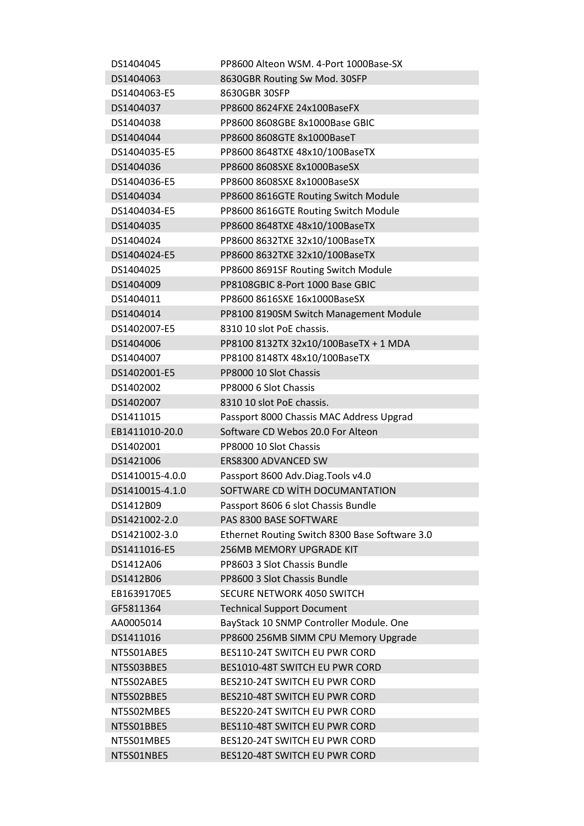| DS1404045       | PP8600 Alteon WSM, 4-Port 1000Base-SX                                  |
|-----------------|------------------------------------------------------------------------|
| DS1404063       | 8630GBR Routing Sw Mod. 30SFP                                          |
| DS1404063-E5    | 8630GBR 30SFP                                                          |
| DS1404037       | PP8600 8624FXE 24x100BaseFX                                            |
| DS1404038       | PP8600 8608GBE 8x1000Base GBIC                                         |
| DS1404044       | PP8600 8608GTE 8x1000BaseT                                             |
| DS1404035-E5    | PP8600 8648TXE 48x10/100BaseTX                                         |
| DS1404036       | PP8600 8608SXE 8x1000BaseSX                                            |
| DS1404036-E5    | PP8600 8608SXE 8x1000BaseSX                                            |
| DS1404034       | PP8600 8616GTE Routing Switch Module                                   |
| DS1404034-E5    | PP8600 8616GTE Routing Switch Module                                   |
| DS1404035       | PP8600 8648TXE 48x10/100BaseTX                                         |
| DS1404024       | PP8600 8632TXE 32x10/100BaseTX                                         |
| DS1404024-E5    | PP8600 8632TXE 32x10/100BaseTX                                         |
| DS1404025       | PP8600 8691SF Routing Switch Module                                    |
| DS1404009       | PP8108GBIC 8-Port 1000 Base GBIC                                       |
| DS1404011       | PP8600 8616SXE 16x1000BaseSX                                           |
| DS1404014       | PP8100 8190SM Switch Management Module                                 |
| DS1402007-E5    | 8310 10 slot PoE chassis.                                              |
| DS1404006       | PP8100 8132TX 32x10/100BaseTX + 1 MDA                                  |
| DS1404007       | PP8100 8148TX 48x10/100BaseTX                                          |
| DS1402001-E5    | PP8000 10 Slot Chassis                                                 |
| DS1402002       | PP8000 6 Slot Chassis                                                  |
| DS1402007       | 8310 10 slot PoE chassis.                                              |
| DS1411015       | Passport 8000 Chassis MAC Address Upgrad                               |
| EB1411010-20.0  | Software CD Webos 20.0 For Alteon                                      |
| DS1402001       | PP8000 10 Slot Chassis                                                 |
| DS1421006       | ERS8300 ADVANCED SW                                                    |
| DS1410015-4.0.0 | Passport 8600 Adv.Diag.Tools v4.0                                      |
| DS1410015-4.1.0 | SOFTWARE CD WITH DOCUMANTATION                                         |
| DS1412B09       | Passport 8606 6 slot Chassis Bundle                                    |
| DS1421002-2.0   | PAS 8300 BASE SOFTWARE                                                 |
| DS1421002-3.0   | Ethernet Routing Switch 8300 Base Software 3.0                         |
| DS1411016-E5    | <b>256MB MEMORY UPGRADE KIT</b>                                        |
| DS1412A06       | PP8603 3 Slot Chassis Bundle                                           |
| DS1412B06       | PP8600 3 Slot Chassis Bundle                                           |
| EB1639170E5     | SECURE NETWORK 4050 SWITCH                                             |
| GF5811364       | <b>Technical Support Document</b>                                      |
| AA0005014       | BayStack 10 SNMP Controller Module. One                                |
| DS1411016       | PP8600 256MB SIMM CPU Memory Upgrade                                   |
|                 |                                                                        |
| NT5S01ABE5      | <b>BES110-24T SWITCH EU PWR CORD</b><br>BES1010-48T SWITCH EU PWR CORD |
| NT5S03BBE5      |                                                                        |
| NT5S02ABE5      | BES210-24T SWITCH EU PWR CORD                                          |
| NT5S02BBE5      | BES210-48T SWITCH EU PWR CORD                                          |
| NT5S02MBE5      | BES220-24T SWITCH EU PWR CORD                                          |
| NT5S01BBE5      | BES110-48T SWITCH EU PWR CORD                                          |
| NT5S01MBE5      | BES120-24T SWITCH EU PWR CORD                                          |
| NT5S01NBE5      | BES120-48T SWITCH EU PWR CORD                                          |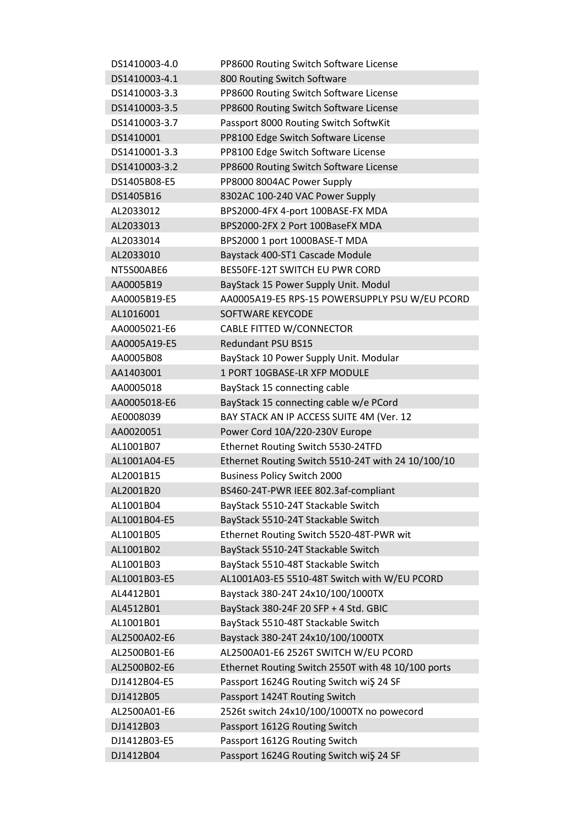| DS1410003-4.0 | PP8600 Routing Switch Software License             |
|---------------|----------------------------------------------------|
| DS1410003-4.1 | 800 Routing Switch Software                        |
| DS1410003-3.3 | PP8600 Routing Switch Software License             |
| DS1410003-3.5 | PP8600 Routing Switch Software License             |
| DS1410003-3.7 | Passport 8000 Routing Switch SoftwKit              |
| DS1410001     | PP8100 Edge Switch Software License                |
| DS1410001-3.3 | PP8100 Edge Switch Software License                |
| DS1410003-3.2 | PP8600 Routing Switch Software License             |
| DS1405B08-E5  | PP8000 8004AC Power Supply                         |
| DS1405B16     | 8302AC 100-240 VAC Power Supply                    |
| AL2033012     | BPS2000-4FX 4-port 100BASE-FX MDA                  |
| AL2033013     | BPS2000-2FX 2 Port 100BaseFX MDA                   |
| AL2033014     | BPS2000 1 port 1000BASE-T MDA                      |
| AL2033010     | Baystack 400-ST1 Cascade Module                    |
| NT5S00ABE6    | <b>BES50FE-12T SWITCH EU PWR CORD</b>              |
| AA0005B19     | BayStack 15 Power Supply Unit. Modul               |
| AA0005B19-E5  | AA0005A19-E5 RPS-15 POWERSUPPLY PSU W/EU PCORD     |
| AL1016001     | <b>SOFTWARE KEYCODE</b>                            |
| AA0005021-E6  | <b>CABLE FITTED W/CONNECTOR</b>                    |
| AA0005A19-E5  | <b>Redundant PSU BS15</b>                          |
| AA0005B08     | BayStack 10 Power Supply Unit. Modular             |
| AA1403001     | 1 PORT 10GBASE-LR XFP MODULE                       |
|               |                                                    |
| AA0005018     | BayStack 15 connecting cable                       |
| AA0005018-E6  | BayStack 15 connecting cable w/e PCord             |
| AE0008039     | BAY STACK AN IP ACCESS SUITE 4M (Ver. 12           |
| AA0020051     | Power Cord 10A/220-230V Europe                     |
| AL1001B07     | Ethernet Routing Switch 5530-24TFD                 |
| AL1001A04-E5  | Ethernet Routing Switch 5510-24T with 24 10/100/10 |
| AL2001B15     | <b>Business Policy Switch 2000</b>                 |
| AL2001B20     | BS460-24T-PWR IEEE 802.3af-compliant               |
| AL1001B04     | BayStack 5510-24T Stackable Switch                 |
| AL1001B04-E5  | BayStack 5510-24T Stackable Switch                 |
| AL1001B05     | Ethernet Routing Switch 5520-48T-PWR wit           |
| AL1001B02     | BayStack 5510-24T Stackable Switch                 |
| AL1001B03     | BayStack 5510-48T Stackable Switch                 |
| AL1001B03-E5  | AL1001A03-E5 5510-48T Switch with W/EU PCORD       |
| AL4412B01     | Baystack 380-24T 24x10/100/1000TX                  |
| AL4512B01     | BayStack 380-24F 20 SFP + 4 Std. GBIC              |
| AL1001B01     | BayStack 5510-48T Stackable Switch                 |
| AL2500A02-E6  | Baystack 380-24T 24x10/100/1000TX                  |
| AL2500B01-E6  | AL2500A01-E6 2526T SWITCH W/EU PCORD               |
| AL2500B02-E6  | Ethernet Routing Switch 2550T with 48 10/100 ports |
| DJ1412B04-E5  | Passport 1624G Routing Switch wi\$ 24 SF           |
| DJ1412B05     | Passport 1424T Routing Switch                      |
| AL2500A01-E6  | 2526t switch 24x10/100/1000TX no powecord          |
| DJ1412B03     | Passport 1612G Routing Switch                      |
| DJ1412B03-E5  | Passport 1612G Routing Switch                      |
| DJ1412B04     | Passport 1624G Routing Switch wiŞ 24 SF            |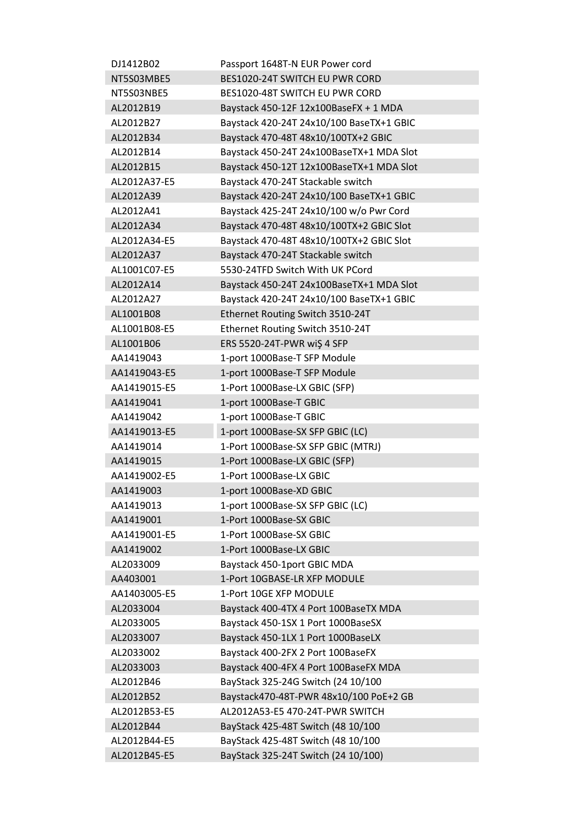| DJ1412B02    | Passport 1648T-N EUR Power cord          |
|--------------|------------------------------------------|
| NT5S03MBE5   | BES1020-24T SWITCH EU PWR CORD           |
| NT5S03NBE5   | BES1020-48T SWITCH EU PWR CORD           |
| AL2012B19    | Baystack 450-12F 12x100BaseFX + 1 MDA    |
| AL2012B27    | Baystack 420-24T 24x10/100 BaseTX+1 GBIC |
| AL2012B34    | Baystack 470-48T 48x10/100TX+2 GBIC      |
| AL2012B14    | Baystack 450-24T 24x100BaseTX+1 MDA Slot |
| AL2012B15    | Baystack 450-12T 12x100BaseTX+1 MDA Slot |
| AL2012A37-E5 | Baystack 470-24T Stackable switch        |
| AL2012A39    | Baystack 420-24T 24x10/100 BaseTX+1 GBIC |
| AL2012A41    | Baystack 425-24T 24x10/100 w/o Pwr Cord  |
| AL2012A34    | Baystack 470-48T 48x10/100TX+2 GBIC Slot |
| AL2012A34-E5 | Baystack 470-48T 48x10/100TX+2 GBIC Slot |
| AL2012A37    | Baystack 470-24T Stackable switch        |
| AL1001C07-E5 | 5530-24TFD Switch With UK PCord          |
| AL2012A14    | Baystack 450-24T 24x100BaseTX+1 MDA Slot |
| AL2012A27    | Baystack 420-24T 24x10/100 BaseTX+1 GBIC |
| AL1001B08    | Ethernet Routing Switch 3510-24T         |
| AL1001B08-E5 | Ethernet Routing Switch 3510-24T         |
| AL1001B06    | ERS 5520-24T-PWR wi\$4 SFP               |
| AA1419043    | 1-port 1000Base-T SFP Module             |
| AA1419043-E5 | 1-port 1000Base-T SFP Module             |
| AA1419015-E5 | 1-Port 1000Base-LX GBIC (SFP)            |
| AA1419041    | 1-port 1000Base-T GBIC                   |
| AA1419042    | 1-port 1000Base-T GBIC                   |
| AA1419013-E5 | 1-port 1000Base-SX SFP GBIC (LC)         |
| AA1419014    | 1-Port 1000Base-SX SFP GBIC (MTRJ)       |
| AA1419015    | 1-Port 1000Base-LX GBIC (SFP)            |
| AA1419002-E5 | 1-Port 1000Base-LX GBIC                  |
| AA1419003    | 1-port 1000Base-XD GBIC                  |
| AA1419013    | 1-port 1000Base-SX SFP GBIC (LC)         |
| AA1419001    | 1-Port 1000Base-SX GBIC                  |
| AA1419001-E5 | 1-Port 1000Base-SX GBIC                  |
| AA1419002    | 1-Port 1000Base-LX GBIC                  |
| AL2033009    | Baystack 450-1port GBIC MDA              |
| AA403001     | 1-Port 10GBASE-LR XFP MODULE             |
| AA1403005-E5 | 1-Port 10GE XFP MODULE                   |
| AL2033004    | Baystack 400-4TX 4 Port 100BaseTX MDA    |
| AL2033005    | Baystack 450-1SX 1 Port 1000BaseSX       |
| AL2033007    | Baystack 450-1LX 1 Port 1000BaseLX       |
| AL2033002    | Baystack 400-2FX 2 Port 100BaseFX        |
| AL2033003    | Baystack 400-4FX 4 Port 100BaseFX MDA    |
| AL2012B46    | BayStack 325-24G Switch (24 10/100       |
| AL2012B52    | Baystack470-48T-PWR 48x10/100 PoE+2 GB   |
| AL2012B53-E5 | AL2012A53-E5 470-24T-PWR SWITCH          |
| AL2012B44    |                                          |
|              | BayStack 425-48T Switch (48 10/100       |
| AL2012B44-E5 | BayStack 425-48T Switch (48 10/100       |
| AL2012B45-E5 | BayStack 325-24T Switch (24 10/100)      |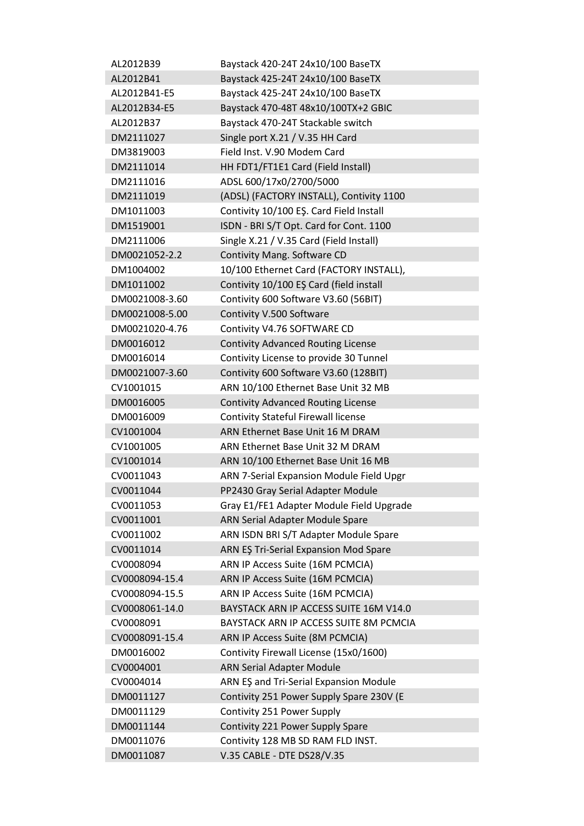| AL2012B39      | Baystack 420-24T 24x10/100 BaseTX          |
|----------------|--------------------------------------------|
| AL2012B41      | Baystack 425-24T 24x10/100 BaseTX          |
| AL2012B41-E5   | Baystack 425-24T 24x10/100 BaseTX          |
| AL2012B34-E5   | Baystack 470-48T 48x10/100TX+2 GBIC        |
| AL2012B37      | Baystack 470-24T Stackable switch          |
| DM2111027      | Single port X.21 / V.35 HH Card            |
| DM3819003      | Field Inst. V.90 Modem Card                |
| DM2111014      | HH FDT1/FT1E1 Card (Field Install)         |
| DM2111016      | ADSL 600/17x0/2700/5000                    |
| DM2111019      | (ADSL) (FACTORY INSTALL), Contivity 1100   |
| DM1011003      | Contivity 10/100 EŞ. Card Field Install    |
| DM1519001      | ISDN - BRI S/T Opt. Card for Cont. 1100    |
| DM2111006      | Single X.21 / V.35 Card (Field Install)    |
| DM0021052-2.2  | Contivity Mang. Software CD                |
| DM1004002      | 10/100 Ethernet Card (FACTORY INSTALL),    |
| DM1011002      | Contivity 10/100 EŞ Card (field install    |
| DM0021008-3.60 | Contivity 600 Software V3.60 (56BIT)       |
| DM0021008-5.00 | Contivity V.500 Software                   |
| DM0021020-4.76 | Contivity V4.76 SOFTWARE CD                |
| DM0016012      | <b>Contivity Advanced Routing License</b>  |
| DM0016014      | Contivity License to provide 30 Tunnel     |
| DM0021007-3.60 | Contivity 600 Software V3.60 (128BIT)      |
|                |                                            |
| CV1001015      | ARN 10/100 Ethernet Base Unit 32 MB        |
| DM0016005      | <b>Contivity Advanced Routing License</b>  |
| DM0016009      | <b>Contivity Stateful Firewall license</b> |
| CV1001004      | ARN Ethernet Base Unit 16 M DRAM           |
| CV1001005      | ARN Ethernet Base Unit 32 M DRAM           |
| CV1001014      | ARN 10/100 Ethernet Base Unit 16 MB        |
| CV0011043      | ARN 7-Serial Expansion Module Field Upgr   |
| CV0011044      | PP2430 Gray Serial Adapter Module          |
| CV0011053      | Gray E1/FE1 Adapter Module Field Upgrade   |
| CV0011001      | <b>ARN Serial Adapter Module Spare</b>     |
| CV0011002      | ARN ISDN BRI S/T Adapter Module Spare      |
| CV0011014      | ARN EŞ Tri-Serial Expansion Mod Spare      |
| CV0008094      | ARN IP Access Suite (16M PCMCIA)           |
| CV0008094-15.4 | ARN IP Access Suite (16M PCMCIA)           |
| CV0008094-15.5 | ARN IP Access Suite (16M PCMCIA)           |
| CV0008061-14.0 | BAYSTACK ARN IP ACCESS SUITE 16M V14.0     |
| CV0008091      | BAYSTACK ARN IP ACCESS SUITE 8M PCMCIA     |
| CV0008091-15.4 | ARN IP Access Suite (8M PCMCIA)            |
| DM0016002      | Contivity Firewall License (15x0/1600)     |
| CV0004001      | <b>ARN Serial Adapter Module</b>           |
| CV0004014      | ARN EŞ and Tri-Serial Expansion Module     |
| DM0011127      | Contivity 251 Power Supply Spare 230V (E   |
| DM0011129      | Contivity 251 Power Supply                 |
| DM0011144      | Contivity 221 Power Supply Spare           |
| DM0011076      | Contivity 128 MB SD RAM FLD INST.          |
| DM0011087      | V.35 CABLE - DTE DS28/V.35                 |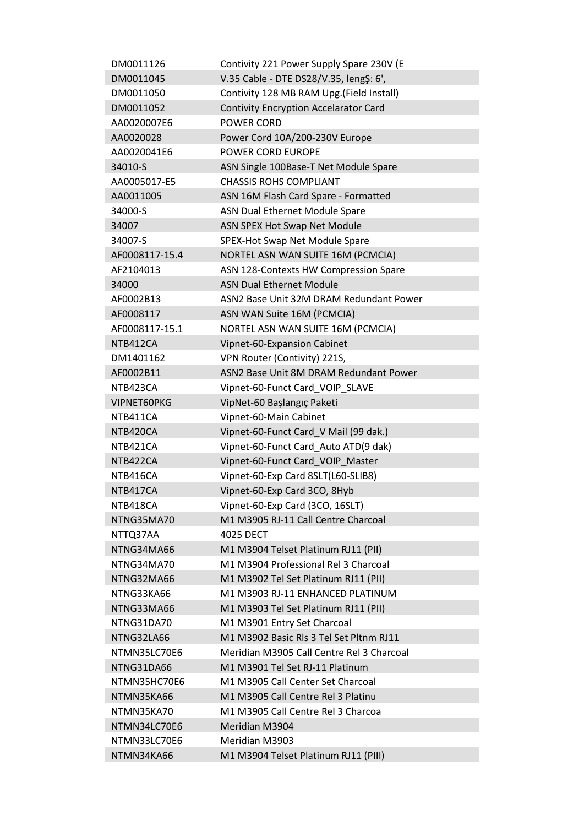| DM0011126      | Contivity 221 Power Supply Spare 230V (E     |
|----------------|----------------------------------------------|
| DM0011045      | V.35 Cable - DTE DS28/V.35, leng \$: 6',     |
| DM0011050      | Contivity 128 MB RAM Upg.(Field Install)     |
| DM0011052      | <b>Contivity Encryption Accelarator Card</b> |
| AA0020007E6    | <b>POWER CORD</b>                            |
| AA0020028      | Power Cord 10A/200-230V Europe               |
| AA0020041E6    | <b>POWER CORD EUROPE</b>                     |
| 34010-S        | ASN Single 100Base-T Net Module Spare        |
| AA0005017-E5   | <b>CHASSIS ROHS COMPLIANT</b>                |
| AA0011005      | ASN 16M Flash Card Spare - Formatted         |
| 34000-S        | ASN Dual Ethernet Module Spare               |
| 34007          | ASN SPEX Hot Swap Net Module                 |
| 34007-S        | SPEX-Hot Swap Net Module Spare               |
| AF0008117-15.4 | NORTEL ASN WAN SUITE 16M (PCMCIA)            |
| AF2104013      | ASN 128-Contexts HW Compression Spare        |
| 34000          | <b>ASN Dual Ethernet Module</b>              |
| AF0002B13      | ASN2 Base Unit 32M DRAM Redundant Power      |
| AF0008117      | ASN WAN Suite 16M (PCMCIA)                   |
| AF0008117-15.1 | NORTEL ASN WAN SUITE 16M (PCMCIA)            |
| NTB412CA       |                                              |
|                | Vipnet-60-Expansion Cabinet                  |
| DM1401162      | VPN Router (Contivity) 221S,                 |
| AF0002B11      | ASN2 Base Unit 8M DRAM Redundant Power       |
| NTB423CA       | Vipnet-60-Funct Card_VOIP_SLAVE              |
| VIPNET60PKG    | VipNet-60 Başlangıç Paketi                   |
| NTB411CA       | Vipnet-60-Main Cabinet                       |
| NTB420CA       | Vipnet-60-Funct Card_V Mail (99 dak.)        |
| NTB421CA       | Vipnet-60-Funct Card Auto ATD(9 dak)         |
| NTB422CA       | Vipnet-60-Funct Card_VOIP_Master             |
| NTB416CA       | Vipnet-60-Exp Card 8SLT(L60-SLIB8)           |
| NTB417CA       | Vipnet-60-Exp Card 3CO, 8Hyb                 |
| NTB418CA       | Vipnet-60-Exp Card (3CO, 16SLT)              |
| NTNG35MA70     | M1 M3905 RJ-11 Call Centre Charcoal          |
| NTTQ37AA       | <b>4025 DECT</b>                             |
| NTNG34MA66     | M1 M3904 Telset Platinum RJ11 (PII)          |
| NTNG34MA70     | M1 M3904 Professional Rel 3 Charcoal         |
| NTNG32MA66     | M1 M3902 Tel Set Platinum RJ11 (PII)         |
| NTNG33KA66     | M1 M3903 RJ-11 ENHANCED PLATINUM             |
| NTNG33MA66     | M1 M3903 Tel Set Platinum RJ11 (PII)         |
| NTNG31DA70     | M1 M3901 Entry Set Charcoal                  |
| NTNG32LA66     | M1 M3902 Basic Rls 3 Tel Set Pltnm RJ11      |
| NTMN35LC70E6   | Meridian M3905 Call Centre Rel 3 Charcoal    |
| NTNG31DA66     | M1 M3901 Tel Set RJ-11 Platinum              |
| NTMN35HC70E6   | M1 M3905 Call Center Set Charcoal            |
| NTMN35KA66     | M1 M3905 Call Centre Rel 3 Platinu           |
| NTMN35KA70     | M1 M3905 Call Centre Rel 3 Charcoa           |
| NTMN34LC70E6   | Meridian M3904                               |
| NTMN33LC70E6   | Meridian M3903                               |
| NTMN34KA66     | M1 M3904 Telset Platinum RJ11 (PIII)         |
|                |                                              |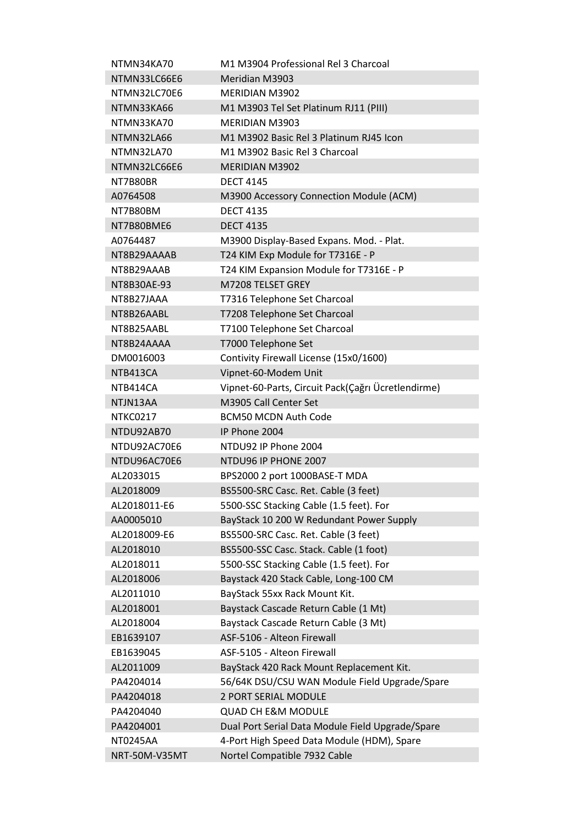| Meridian M3903<br>NTMN33LC66E6<br>NTMN32LC70E6<br>MFRIDIAN M3902<br>M1 M3903 Tel Set Platinum RJ11 (PIII)<br>NTMN33KA66<br>NTMN33KA70<br>MFRIDIAN M3903<br>M1 M3902 Basic Rel 3 Platinum RJ45 Icon<br>NTMN32LA66<br>NTMN32LA70<br>M1 M3902 Basic Rel 3 Charcoal<br>NTMN32LC66E6<br><b>MERIDIAN M3902</b><br><b>DECT 4145</b><br>NT7B80BR<br>M3900 Accessory Connection Module (ACM)<br>A0764508<br><b>DECT 4135</b><br>NT7B80BM<br><b>DECT 4135</b><br>NT7B80BME6<br>M3900 Display-Based Expans. Mod. - Plat.<br>A0764487<br>T24 KIM Exp Module for T7316E - P<br>NT8B29AAAAB<br>T24 KIM Expansion Module for T7316E - P<br>NT8B29AAAB<br>M7208 TELSET GREY<br>NT8B30AE-93<br>T7316 Telephone Set Charcoal<br>NT8B27JAAA<br>T7208 Telephone Set Charcoal<br>NT8B26AABL<br>T7100 Telephone Set Charcoal<br>NT8B25AABL<br>T7000 Telephone Set<br>NT8B24AAAA<br>Contivity Firewall License (15x0/1600)<br>DM0016003<br>Vipnet-60-Modem Unit<br>NTB413CA<br>Vipnet-60-Parts, Circuit Pack(Çağrı Ücretlendirme)<br>NTB414CA<br>M3905 Call Center Set<br>NTJN13AA<br><b>NTKC0217</b><br><b>BCM50 MCDN Auth Code</b><br>IP Phone 2004<br>NTDU92AB70<br>NTDU92AC70E6<br>NTDU92 IP Phone 2004<br>NTDU96AC70E6<br>NTDU96 IP PHONE 2007<br>BPS2000 2 port 1000BASE-T MDA<br>AL2033015<br>BS5500-SRC Casc. Ret. Cable (3 feet)<br>AL2018009<br>AL2018011-E6<br>5500-SSC Stacking Cable (1.5 feet). For<br>BayStack 10 200 W Redundant Power Supply<br>AA0005010<br>BS5500-SRC Casc. Ret. Cable (3 feet)<br>AL2018009-E6<br>AL2018010<br>BS5500-SSC Casc. Stack. Cable (1 foot)<br>5500-SSC Stacking Cable (1.5 feet). For<br>AL2018011<br>AL2018006<br>Baystack 420 Stack Cable, Long-100 CM<br>AL2011010<br>BayStack 55xx Rack Mount Kit.<br>AL2018001<br>Baystack Cascade Return Cable (1 Mt)<br>Baystack Cascade Return Cable (3 Mt)<br>AL2018004<br>ASF-5106 - Alteon Firewall<br>EB1639107<br>ASF-5105 - Alteon Firewall<br>EB1639045<br>AL2011009<br>BayStack 420 Rack Mount Replacement Kit.<br>56/64K DSU/CSU WAN Module Field Upgrade/Spare<br>PA4204014<br>2 PORT SERIAL MODULE<br>PA4204018<br><b>QUAD CH E&amp;M MODULE</b><br>PA4204040 | NTMN34KA70    | M1 M3904 Professional Rel 3 Charcoal |
|------------------------------------------------------------------------------------------------------------------------------------------------------------------------------------------------------------------------------------------------------------------------------------------------------------------------------------------------------------------------------------------------------------------------------------------------------------------------------------------------------------------------------------------------------------------------------------------------------------------------------------------------------------------------------------------------------------------------------------------------------------------------------------------------------------------------------------------------------------------------------------------------------------------------------------------------------------------------------------------------------------------------------------------------------------------------------------------------------------------------------------------------------------------------------------------------------------------------------------------------------------------------------------------------------------------------------------------------------------------------------------------------------------------------------------------------------------------------------------------------------------------------------------------------------------------------------------------------------------------------------------------------------------------------------------------------------------------------------------------------------------------------------------------------------------------------------------------------------------------------------------------------------------------------------------------------------------------------------------------------------------------------------------------------------------------------------------------------------------------------------------------|---------------|--------------------------------------|
|                                                                                                                                                                                                                                                                                                                                                                                                                                                                                                                                                                                                                                                                                                                                                                                                                                                                                                                                                                                                                                                                                                                                                                                                                                                                                                                                                                                                                                                                                                                                                                                                                                                                                                                                                                                                                                                                                                                                                                                                                                                                                                                                          |               |                                      |
|                                                                                                                                                                                                                                                                                                                                                                                                                                                                                                                                                                                                                                                                                                                                                                                                                                                                                                                                                                                                                                                                                                                                                                                                                                                                                                                                                                                                                                                                                                                                                                                                                                                                                                                                                                                                                                                                                                                                                                                                                                                                                                                                          |               |                                      |
|                                                                                                                                                                                                                                                                                                                                                                                                                                                                                                                                                                                                                                                                                                                                                                                                                                                                                                                                                                                                                                                                                                                                                                                                                                                                                                                                                                                                                                                                                                                                                                                                                                                                                                                                                                                                                                                                                                                                                                                                                                                                                                                                          |               |                                      |
|                                                                                                                                                                                                                                                                                                                                                                                                                                                                                                                                                                                                                                                                                                                                                                                                                                                                                                                                                                                                                                                                                                                                                                                                                                                                                                                                                                                                                                                                                                                                                                                                                                                                                                                                                                                                                                                                                                                                                                                                                                                                                                                                          |               |                                      |
|                                                                                                                                                                                                                                                                                                                                                                                                                                                                                                                                                                                                                                                                                                                                                                                                                                                                                                                                                                                                                                                                                                                                                                                                                                                                                                                                                                                                                                                                                                                                                                                                                                                                                                                                                                                                                                                                                                                                                                                                                                                                                                                                          |               |                                      |
|                                                                                                                                                                                                                                                                                                                                                                                                                                                                                                                                                                                                                                                                                                                                                                                                                                                                                                                                                                                                                                                                                                                                                                                                                                                                                                                                                                                                                                                                                                                                                                                                                                                                                                                                                                                                                                                                                                                                                                                                                                                                                                                                          |               |                                      |
|                                                                                                                                                                                                                                                                                                                                                                                                                                                                                                                                                                                                                                                                                                                                                                                                                                                                                                                                                                                                                                                                                                                                                                                                                                                                                                                                                                                                                                                                                                                                                                                                                                                                                                                                                                                                                                                                                                                                                                                                                                                                                                                                          |               |                                      |
|                                                                                                                                                                                                                                                                                                                                                                                                                                                                                                                                                                                                                                                                                                                                                                                                                                                                                                                                                                                                                                                                                                                                                                                                                                                                                                                                                                                                                                                                                                                                                                                                                                                                                                                                                                                                                                                                                                                                                                                                                                                                                                                                          |               |                                      |
|                                                                                                                                                                                                                                                                                                                                                                                                                                                                                                                                                                                                                                                                                                                                                                                                                                                                                                                                                                                                                                                                                                                                                                                                                                                                                                                                                                                                                                                                                                                                                                                                                                                                                                                                                                                                                                                                                                                                                                                                                                                                                                                                          |               |                                      |
|                                                                                                                                                                                                                                                                                                                                                                                                                                                                                                                                                                                                                                                                                                                                                                                                                                                                                                                                                                                                                                                                                                                                                                                                                                                                                                                                                                                                                                                                                                                                                                                                                                                                                                                                                                                                                                                                                                                                                                                                                                                                                                                                          |               |                                      |
|                                                                                                                                                                                                                                                                                                                                                                                                                                                                                                                                                                                                                                                                                                                                                                                                                                                                                                                                                                                                                                                                                                                                                                                                                                                                                                                                                                                                                                                                                                                                                                                                                                                                                                                                                                                                                                                                                                                                                                                                                                                                                                                                          |               |                                      |
|                                                                                                                                                                                                                                                                                                                                                                                                                                                                                                                                                                                                                                                                                                                                                                                                                                                                                                                                                                                                                                                                                                                                                                                                                                                                                                                                                                                                                                                                                                                                                                                                                                                                                                                                                                                                                                                                                                                                                                                                                                                                                                                                          |               |                                      |
|                                                                                                                                                                                                                                                                                                                                                                                                                                                                                                                                                                                                                                                                                                                                                                                                                                                                                                                                                                                                                                                                                                                                                                                                                                                                                                                                                                                                                                                                                                                                                                                                                                                                                                                                                                                                                                                                                                                                                                                                                                                                                                                                          |               |                                      |
|                                                                                                                                                                                                                                                                                                                                                                                                                                                                                                                                                                                                                                                                                                                                                                                                                                                                                                                                                                                                                                                                                                                                                                                                                                                                                                                                                                                                                                                                                                                                                                                                                                                                                                                                                                                                                                                                                                                                                                                                                                                                                                                                          |               |                                      |
|                                                                                                                                                                                                                                                                                                                                                                                                                                                                                                                                                                                                                                                                                                                                                                                                                                                                                                                                                                                                                                                                                                                                                                                                                                                                                                                                                                                                                                                                                                                                                                                                                                                                                                                                                                                                                                                                                                                                                                                                                                                                                                                                          |               |                                      |
|                                                                                                                                                                                                                                                                                                                                                                                                                                                                                                                                                                                                                                                                                                                                                                                                                                                                                                                                                                                                                                                                                                                                                                                                                                                                                                                                                                                                                                                                                                                                                                                                                                                                                                                                                                                                                                                                                                                                                                                                                                                                                                                                          |               |                                      |
|                                                                                                                                                                                                                                                                                                                                                                                                                                                                                                                                                                                                                                                                                                                                                                                                                                                                                                                                                                                                                                                                                                                                                                                                                                                                                                                                                                                                                                                                                                                                                                                                                                                                                                                                                                                                                                                                                                                                                                                                                                                                                                                                          |               |                                      |
|                                                                                                                                                                                                                                                                                                                                                                                                                                                                                                                                                                                                                                                                                                                                                                                                                                                                                                                                                                                                                                                                                                                                                                                                                                                                                                                                                                                                                                                                                                                                                                                                                                                                                                                                                                                                                                                                                                                                                                                                                                                                                                                                          |               |                                      |
|                                                                                                                                                                                                                                                                                                                                                                                                                                                                                                                                                                                                                                                                                                                                                                                                                                                                                                                                                                                                                                                                                                                                                                                                                                                                                                                                                                                                                                                                                                                                                                                                                                                                                                                                                                                                                                                                                                                                                                                                                                                                                                                                          |               |                                      |
|                                                                                                                                                                                                                                                                                                                                                                                                                                                                                                                                                                                                                                                                                                                                                                                                                                                                                                                                                                                                                                                                                                                                                                                                                                                                                                                                                                                                                                                                                                                                                                                                                                                                                                                                                                                                                                                                                                                                                                                                                                                                                                                                          |               |                                      |
|                                                                                                                                                                                                                                                                                                                                                                                                                                                                                                                                                                                                                                                                                                                                                                                                                                                                                                                                                                                                                                                                                                                                                                                                                                                                                                                                                                                                                                                                                                                                                                                                                                                                                                                                                                                                                                                                                                                                                                                                                                                                                                                                          |               |                                      |
|                                                                                                                                                                                                                                                                                                                                                                                                                                                                                                                                                                                                                                                                                                                                                                                                                                                                                                                                                                                                                                                                                                                                                                                                                                                                                                                                                                                                                                                                                                                                                                                                                                                                                                                                                                                                                                                                                                                                                                                                                                                                                                                                          |               |                                      |
|                                                                                                                                                                                                                                                                                                                                                                                                                                                                                                                                                                                                                                                                                                                                                                                                                                                                                                                                                                                                                                                                                                                                                                                                                                                                                                                                                                                                                                                                                                                                                                                                                                                                                                                                                                                                                                                                                                                                                                                                                                                                                                                                          |               |                                      |
|                                                                                                                                                                                                                                                                                                                                                                                                                                                                                                                                                                                                                                                                                                                                                                                                                                                                                                                                                                                                                                                                                                                                                                                                                                                                                                                                                                                                                                                                                                                                                                                                                                                                                                                                                                                                                                                                                                                                                                                                                                                                                                                                          |               |                                      |
|                                                                                                                                                                                                                                                                                                                                                                                                                                                                                                                                                                                                                                                                                                                                                                                                                                                                                                                                                                                                                                                                                                                                                                                                                                                                                                                                                                                                                                                                                                                                                                                                                                                                                                                                                                                                                                                                                                                                                                                                                                                                                                                                          |               |                                      |
|                                                                                                                                                                                                                                                                                                                                                                                                                                                                                                                                                                                                                                                                                                                                                                                                                                                                                                                                                                                                                                                                                                                                                                                                                                                                                                                                                                                                                                                                                                                                                                                                                                                                                                                                                                                                                                                                                                                                                                                                                                                                                                                                          |               |                                      |
|                                                                                                                                                                                                                                                                                                                                                                                                                                                                                                                                                                                                                                                                                                                                                                                                                                                                                                                                                                                                                                                                                                                                                                                                                                                                                                                                                                                                                                                                                                                                                                                                                                                                                                                                                                                                                                                                                                                                                                                                                                                                                                                                          |               |                                      |
|                                                                                                                                                                                                                                                                                                                                                                                                                                                                                                                                                                                                                                                                                                                                                                                                                                                                                                                                                                                                                                                                                                                                                                                                                                                                                                                                                                                                                                                                                                                                                                                                                                                                                                                                                                                                                                                                                                                                                                                                                                                                                                                                          |               |                                      |
|                                                                                                                                                                                                                                                                                                                                                                                                                                                                                                                                                                                                                                                                                                                                                                                                                                                                                                                                                                                                                                                                                                                                                                                                                                                                                                                                                                                                                                                                                                                                                                                                                                                                                                                                                                                                                                                                                                                                                                                                                                                                                                                                          |               |                                      |
|                                                                                                                                                                                                                                                                                                                                                                                                                                                                                                                                                                                                                                                                                                                                                                                                                                                                                                                                                                                                                                                                                                                                                                                                                                                                                                                                                                                                                                                                                                                                                                                                                                                                                                                                                                                                                                                                                                                                                                                                                                                                                                                                          |               |                                      |
|                                                                                                                                                                                                                                                                                                                                                                                                                                                                                                                                                                                                                                                                                                                                                                                                                                                                                                                                                                                                                                                                                                                                                                                                                                                                                                                                                                                                                                                                                                                                                                                                                                                                                                                                                                                                                                                                                                                                                                                                                                                                                                                                          |               |                                      |
|                                                                                                                                                                                                                                                                                                                                                                                                                                                                                                                                                                                                                                                                                                                                                                                                                                                                                                                                                                                                                                                                                                                                                                                                                                                                                                                                                                                                                                                                                                                                                                                                                                                                                                                                                                                                                                                                                                                                                                                                                                                                                                                                          |               |                                      |
|                                                                                                                                                                                                                                                                                                                                                                                                                                                                                                                                                                                                                                                                                                                                                                                                                                                                                                                                                                                                                                                                                                                                                                                                                                                                                                                                                                                                                                                                                                                                                                                                                                                                                                                                                                                                                                                                                                                                                                                                                                                                                                                                          |               |                                      |
|                                                                                                                                                                                                                                                                                                                                                                                                                                                                                                                                                                                                                                                                                                                                                                                                                                                                                                                                                                                                                                                                                                                                                                                                                                                                                                                                                                                                                                                                                                                                                                                                                                                                                                                                                                                                                                                                                                                                                                                                                                                                                                                                          |               |                                      |
|                                                                                                                                                                                                                                                                                                                                                                                                                                                                                                                                                                                                                                                                                                                                                                                                                                                                                                                                                                                                                                                                                                                                                                                                                                                                                                                                                                                                                                                                                                                                                                                                                                                                                                                                                                                                                                                                                                                                                                                                                                                                                                                                          |               |                                      |
|                                                                                                                                                                                                                                                                                                                                                                                                                                                                                                                                                                                                                                                                                                                                                                                                                                                                                                                                                                                                                                                                                                                                                                                                                                                                                                                                                                                                                                                                                                                                                                                                                                                                                                                                                                                                                                                                                                                                                                                                                                                                                                                                          |               |                                      |
|                                                                                                                                                                                                                                                                                                                                                                                                                                                                                                                                                                                                                                                                                                                                                                                                                                                                                                                                                                                                                                                                                                                                                                                                                                                                                                                                                                                                                                                                                                                                                                                                                                                                                                                                                                                                                                                                                                                                                                                                                                                                                                                                          |               |                                      |
|                                                                                                                                                                                                                                                                                                                                                                                                                                                                                                                                                                                                                                                                                                                                                                                                                                                                                                                                                                                                                                                                                                                                                                                                                                                                                                                                                                                                                                                                                                                                                                                                                                                                                                                                                                                                                                                                                                                                                                                                                                                                                                                                          |               |                                      |
|                                                                                                                                                                                                                                                                                                                                                                                                                                                                                                                                                                                                                                                                                                                                                                                                                                                                                                                                                                                                                                                                                                                                                                                                                                                                                                                                                                                                                                                                                                                                                                                                                                                                                                                                                                                                                                                                                                                                                                                                                                                                                                                                          |               |                                      |
|                                                                                                                                                                                                                                                                                                                                                                                                                                                                                                                                                                                                                                                                                                                                                                                                                                                                                                                                                                                                                                                                                                                                                                                                                                                                                                                                                                                                                                                                                                                                                                                                                                                                                                                                                                                                                                                                                                                                                                                                                                                                                                                                          |               |                                      |
|                                                                                                                                                                                                                                                                                                                                                                                                                                                                                                                                                                                                                                                                                                                                                                                                                                                                                                                                                                                                                                                                                                                                                                                                                                                                                                                                                                                                                                                                                                                                                                                                                                                                                                                                                                                                                                                                                                                                                                                                                                                                                                                                          |               |                                      |
|                                                                                                                                                                                                                                                                                                                                                                                                                                                                                                                                                                                                                                                                                                                                                                                                                                                                                                                                                                                                                                                                                                                                                                                                                                                                                                                                                                                                                                                                                                                                                                                                                                                                                                                                                                                                                                                                                                                                                                                                                                                                                                                                          |               |                                      |
|                                                                                                                                                                                                                                                                                                                                                                                                                                                                                                                                                                                                                                                                                                                                                                                                                                                                                                                                                                                                                                                                                                                                                                                                                                                                                                                                                                                                                                                                                                                                                                                                                                                                                                                                                                                                                                                                                                                                                                                                                                                                                                                                          |               |                                      |
|                                                                                                                                                                                                                                                                                                                                                                                                                                                                                                                                                                                                                                                                                                                                                                                                                                                                                                                                                                                                                                                                                                                                                                                                                                                                                                                                                                                                                                                                                                                                                                                                                                                                                                                                                                                                                                                                                                                                                                                                                                                                                                                                          |               |                                      |
|                                                                                                                                                                                                                                                                                                                                                                                                                                                                                                                                                                                                                                                                                                                                                                                                                                                                                                                                                                                                                                                                                                                                                                                                                                                                                                                                                                                                                                                                                                                                                                                                                                                                                                                                                                                                                                                                                                                                                                                                                                                                                                                                          |               |                                      |
| Dual Port Serial Data Module Field Upgrade/Spare<br>PA4204001                                                                                                                                                                                                                                                                                                                                                                                                                                                                                                                                                                                                                                                                                                                                                                                                                                                                                                                                                                                                                                                                                                                                                                                                                                                                                                                                                                                                                                                                                                                                                                                                                                                                                                                                                                                                                                                                                                                                                                                                                                                                            |               |                                      |
| 4-Port High Speed Data Module (HDM), Spare<br>NT0245AA                                                                                                                                                                                                                                                                                                                                                                                                                                                                                                                                                                                                                                                                                                                                                                                                                                                                                                                                                                                                                                                                                                                                                                                                                                                                                                                                                                                                                                                                                                                                                                                                                                                                                                                                                                                                                                                                                                                                                                                                                                                                                   |               |                                      |
|                                                                                                                                                                                                                                                                                                                                                                                                                                                                                                                                                                                                                                                                                                                                                                                                                                                                                                                                                                                                                                                                                                                                                                                                                                                                                                                                                                                                                                                                                                                                                                                                                                                                                                                                                                                                                                                                                                                                                                                                                                                                                                                                          | NRT-50M-V35MT | Nortel Compatible 7932 Cable         |
|                                                                                                                                                                                                                                                                                                                                                                                                                                                                                                                                                                                                                                                                                                                                                                                                                                                                                                                                                                                                                                                                                                                                                                                                                                                                                                                                                                                                                                                                                                                                                                                                                                                                                                                                                                                                                                                                                                                                                                                                                                                                                                                                          |               |                                      |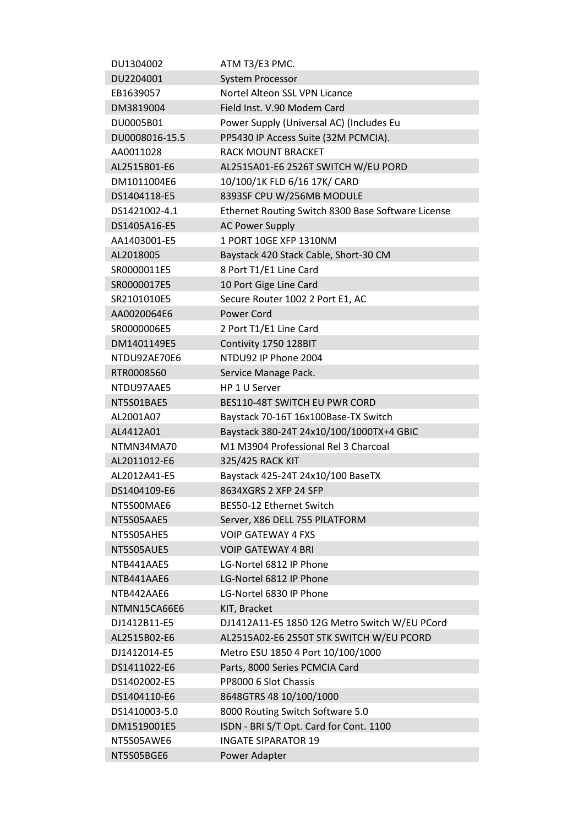| DU1304002      | ATM T3/E3 PMC.                                     |
|----------------|----------------------------------------------------|
| DU2204001      | <b>System Processor</b>                            |
| EB1639057      | Nortel Alteon SSL VPN Licance                      |
| DM3819004      | Field Inst. V.90 Modem Card                        |
| DU0005B01      | Power Supply (Universal AC) (Includes Eu           |
| DU0008016-15.5 | PP5430 IP Access Suite (32M PCMCIA).               |
| AA0011028      | <b>RACK MOUNT BRACKET</b>                          |
| AL2515B01-E6   | AL2515A01-E6 2526T SWITCH W/EU PORD                |
| DM1011004E6    | 10/100/1K FLD 6/16 17K/ CARD                       |
| DS1404118-E5   | 8393SF CPU W/256MB MODULE                          |
| DS1421002-4.1  | Ethernet Routing Switch 8300 Base Software License |
| DS1405A16-E5   | <b>AC Power Supply</b>                             |
| AA1403001-E5   | 1 PORT 10GE XFP 1310NM                             |
| AL2018005      | Baystack 420 Stack Cable, Short-30 CM              |
| SR0000011E5    | 8 Port T1/E1 Line Card                             |
| SR0000017E5    | 10 Port Gige Line Card                             |
| SR2101010E5    | Secure Router 1002 2 Port E1, AC                   |
| AA0020064E6    | <b>Power Cord</b>                                  |
| SR0000006E5    | 2 Port T1/E1 Line Card                             |
| DM1401149E5    | Contivity 1750 128BIT                              |
| NTDU92AE70E6   | NTDU92 IP Phone 2004                               |
|                |                                                    |
| RTR0008560     | Service Manage Pack.                               |
| NTDU97AAE5     | HP 1 U Server                                      |
| NT5S01BAE5     | BES110-48T SWITCH EU PWR CORD                      |
| AL2001A07      | Baystack 70-16T 16x100Base-TX Switch               |
| AL4412A01      | Baystack 380-24T 24x10/100/1000TX+4 GBIC           |
| NTMN34MA70     | M1 M3904 Professional Rel 3 Charcoal               |
| AL2011012-E6   | 325/425 RACK KIT                                   |
| AL2012A41-E5   | Baystack 425-24T 24x10/100 BaseTX                  |
| DS1404109-E6   | 8634XGRS 2 XFP 24 SFP                              |
| NT5S00MAE6     | BES50-12 Ethernet Switch                           |
| NT5S05AAE5     | Server, X86 DELL 755 PILATFORM                     |
| NT5S05AHE5     | <b>VOIP GATEWAY 4 FXS</b>                          |
| NT5S05AUE5     | <b>VOIP GATEWAY 4 BRI</b>                          |
| NTB441AAE5     | LG-Nortel 6812 IP Phone                            |
| NTB441AAE6     | LG-Nortel 6812 IP Phone                            |
| NTB442AAE6     | LG-Nortel 6830 IP Phone                            |
| NTMN15CA66E6   | KIT, Bracket                                       |
| DJ1412B11-E5   | DJ1412A11-E5 1850 12G Metro Switch W/EU PCord      |
| AL2515B02-E6   | AL2515A02-E6 2550T STK SWITCH W/EU PCORD           |
| DJ1412014-E5   | Metro ESU 1850 4 Port 10/100/1000                  |
| DS1411022-E6   | Parts, 8000 Series PCMCIA Card                     |
| DS1402002-E5   | PP8000 6 Slot Chassis                              |
| DS1404110-E6   | 8648GTRS 48 10/100/1000                            |
| DS1410003-5.0  | 8000 Routing Switch Software 5.0                   |
| DM1519001E5    | ISDN - BRI S/T Opt. Card for Cont. 1100            |
| NT5S05AWE6     | <b>INGATE SIPARATOR 19</b>                         |
| NT5S05BGE6     | Power Adapter                                      |
|                |                                                    |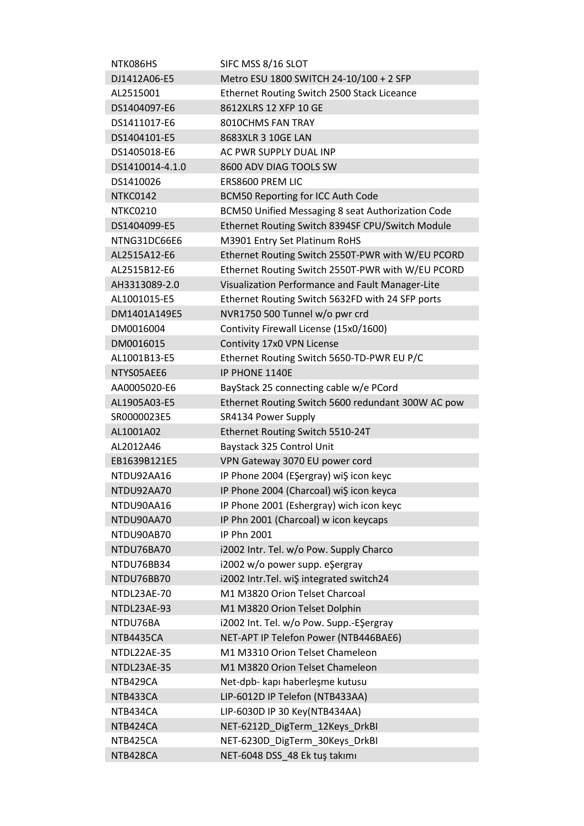| NTK086HS        | SIFC MSS 8/16 SLOT                                   |
|-----------------|------------------------------------------------------|
| DJ1412A06-E5    | Metro ESU 1800 SWITCH 24-10/100 + 2 SFP              |
| AL2515001       | Ethernet Routing Switch 2500 Stack Liceance          |
| DS1404097-E6    | 8612XLRS 12 XFP 10 GE                                |
| DS1411017-E6    | 8010CHMS FAN TRAY                                    |
| DS1404101-E5    | 8683XLR 3 10GE LAN                                   |
| DS1405018-E6    | AC PWR SUPPLY DUAL INP                               |
| DS1410014-4.1.0 | 8600 ADV DIAG TOOLS SW                               |
| DS1410026       | ERS8600 PREM LIC                                     |
| NTKC0142        | <b>BCM50 Reporting for ICC Auth Code</b>             |
| NTKC0210        | BCM50 Unified Messaging 8 seat Authorization Code    |
| DS1404099-E5    | Ethernet Routing Switch 8394SF CPU/Switch Module     |
| NTNG31DC66E6    | M3901 Entry Set Platinum RoHS                        |
| AL2515A12-E6    | Ethernet Routing Switch 2550T-PWR with W/EU PCORD    |
| AL2515B12-E6    | Ethernet Routing Switch 2550T-PWR with W/EU PCORD    |
| AH3313089-2.0   | Visualization Performance and Fault Manager-Lite     |
| AL1001015-E5    | Ethernet Routing Switch 5632FD with 24 SFP ports     |
| DM1401A149E5    | NVR1750 500 Tunnel w/o pwr crd                       |
| DM0016004       | Contivity Firewall License (15x0/1600)               |
| DM0016015       | Contivity 17x0 VPN License                           |
| AL1001B13-E5    | Ethernet Routing Switch 5650-TD-PWR EU P/C           |
| NTYS05AEE6      | IP PHONE 1140E                                       |
| AA0005020-E6    | BayStack 25 connecting cable w/e PCord               |
| AL1905A03-E5    | Ethernet Routing Switch 5600 redundant 300W AC pow   |
| SR0000023E5     | SR4134 Power Supply                                  |
| AL1001A02       | Ethernet Routing Switch 5510-24T                     |
| AL2012A46       | Baystack 325 Control Unit                            |
| EB1639B121E5    | VPN Gateway 3070 EU power cord                       |
| NTDU92AA16      | IP Phone 2004 (EŞergray) wiŞ icon keyc               |
| NTDU92AA70      | IP Phone 2004 (Charcoal) wi\$ icon keyca             |
| NTDU90AA16      | IP Phone 2001 (Eshergray) wich icon keyc             |
| NTDU90AA70      |                                                      |
|                 | IP Phn 2001 (Charcoal) w icon keycaps<br>IP Phn 2001 |
| NTDU90AB70      |                                                      |
| NTDU76BA70      | i2002 Intr. Tel. w/o Pow. Supply Charco              |
| NTDU76BB34      | i2002 w/o power supp. eŞergray                       |
| NTDU76BB70      | i2002 Intr.Tel. wiŞ integrated switch24              |
| NTDL23AE-70     | M1 M3820 Orion Telset Charcoal                       |
| NTDL23AE-93     | M1 M3820 Orion Telset Dolphin                        |
| NTDU76BA        | i2002 Int. Tel. w/o Pow. Supp.-EŞergray              |
| NTB4435CA       | NET-APT IP Telefon Power (NTB446BAE6)                |
| NTDL22AE-35     | M1 M3310 Orion Telset Chameleon                      |
| NTDL23AE-35     | M1 M3820 Orion Telset Chameleon                      |
| NTB429CA        | Net-dpb- kapı haberleşme kutusu                      |
| NTB433CA        | LIP-6012D IP Telefon (NTB433AA)                      |
| NTB434CA        | LIP-6030D IP 30 Key(NTB434AA)                        |
| NTB424CA        | NET-6212D_DigTerm_12Keys_DrkBI                       |
| NTB425CA        | NET-6230D_DigTerm_30Keys_DrkBI                       |
| NTB428CA        | NET-6048 DSS_48 Ek tuş takımı                        |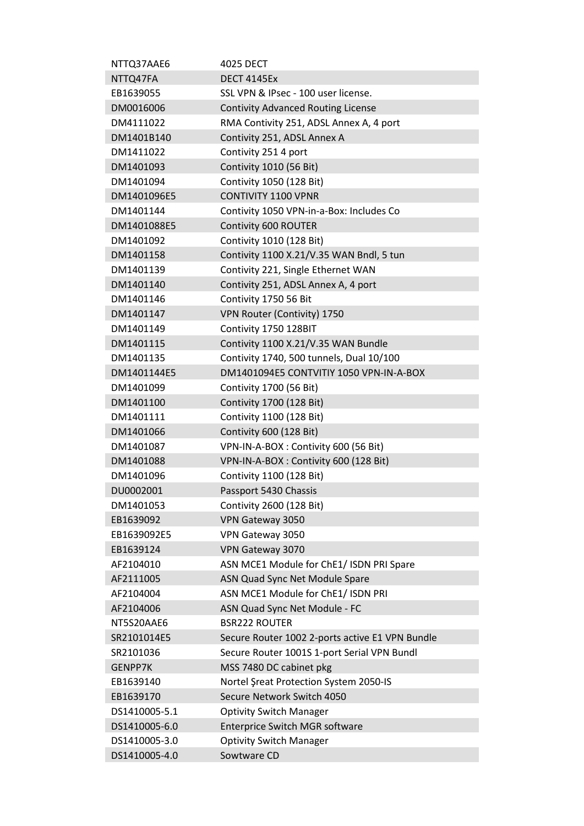| NTTQ37AAE6     | 4025 DECT                                       |
|----------------|-------------------------------------------------|
| NTTQ47FA       | <b>DECT 4145Ex</b>                              |
| EB1639055      | SSL VPN & IPsec - 100 user license.             |
| DM0016006      | <b>Contivity Advanced Routing License</b>       |
| DM4111022      | RMA Contivity 251, ADSL Annex A, 4 port         |
| DM1401B140     | Contivity 251, ADSL Annex A                     |
| DM1411022      | Contivity 251 4 port                            |
| DM1401093      | Contivity 1010 (56 Bit)                         |
| DM1401094      | Contivity 1050 (128 Bit)                        |
| DM1401096E5    | <b>CONTIVITY 1100 VPNR</b>                      |
| DM1401144      | Contivity 1050 VPN-in-a-Box: Includes Co        |
| DM1401088E5    | Contivity 600 ROUTER                            |
| DM1401092      | Contivity 1010 (128 Bit)                        |
| DM1401158      | Contivity 1100 X.21/V.35 WAN Bndl, 5 tun        |
| DM1401139      | Contivity 221, Single Ethernet WAN              |
| DM1401140      | Contivity 251, ADSL Annex A, 4 port             |
| DM1401146      | Contivity 1750 56 Bit                           |
| DM1401147      | VPN Router (Contivity) 1750                     |
| DM1401149      | Contivity 1750 128BIT                           |
| DM1401115      | Contivity 1100 X.21/V.35 WAN Bundle             |
|                |                                                 |
| DM1401135      | Contivity 1740, 500 tunnels, Dual 10/100        |
| DM1401144E5    | DM1401094E5 CONTVITIY 1050 VPN-IN-A-BOX         |
| DM1401099      | <b>Contivity 1700 (56 Bit)</b>                  |
| DM1401100      | Contivity 1700 (128 Bit)                        |
| DM1401111      | Contivity 1100 (128 Bit)                        |
| DM1401066      | Contivity 600 (128 Bit)                         |
| DM1401087      | VPN-IN-A-BOX: Contivity 600 (56 Bit)            |
| DM1401088      | VPN-IN-A-BOX: Contivity 600 (128 Bit)           |
| DM1401096      | Contivity 1100 (128 Bit)                        |
| DU0002001      | Passport 5430 Chassis                           |
| DM1401053      | Contivity 2600 (128 Bit)                        |
| EB1639092      | VPN Gateway 3050                                |
| EB1639092E5    | VPN Gateway 3050                                |
| EB1639124      | VPN Gateway 3070                                |
| AF2104010      | ASN MCE1 Module for ChE1/ ISDN PRI Spare        |
| AF2111005      | ASN Quad Sync Net Module Spare                  |
| AF2104004      | ASN MCE1 Module for ChE1/ ISDN PRI              |
| AF2104006      | ASN Quad Sync Net Module - FC                   |
| NT5S20AAE6     | <b>BSR222 ROUTER</b>                            |
| SR2101014E5    | Secure Router 1002 2-ports active E1 VPN Bundle |
| SR2101036      | Secure Router 1001S 1-port Serial VPN Bundl     |
| <b>GENPP7K</b> | MSS 7480 DC cabinet pkg                         |
| EB1639140      | Nortel Şreat Protection System 2050-IS          |
| EB1639170      | Secure Network Switch 4050                      |
| DS1410005-5.1  | <b>Optivity Switch Manager</b>                  |
| DS1410005-6.0  | Enterprice Switch MGR software                  |
| DS1410005-3.0  | <b>Optivity Switch Manager</b>                  |
| DS1410005-4.0  | Sowtware CD                                     |